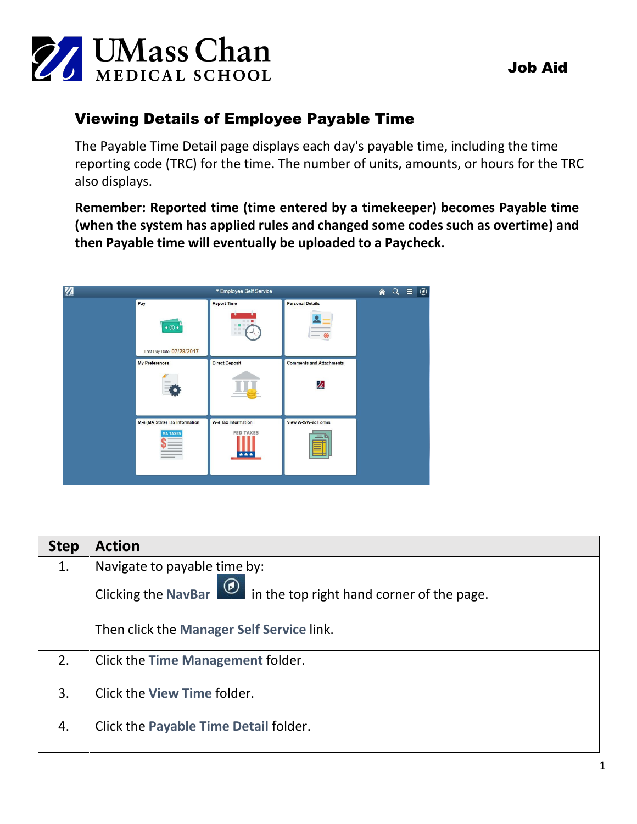

# Viewing Details of Employee Payable Time

The Payable Time Detail page displays each day's payable time, including the time reporting code (TRC) for the time. The number of units, amounts, or hours for the TRC also displays.

**Remember: Reported time (time entered by a timekeeper) becomes Payable time (when the system has applied rules and changed some codes such as overtime) and then Payable time will eventually be uploaded to a Paycheck.**



| <b>Step</b> | <b>Action</b>                                                                    |
|-------------|----------------------------------------------------------------------------------|
| 1.          | Navigate to payable time by:                                                     |
|             | Clicking the NavBar<br><b><i>O</i></b> in the top right hand corner of the page. |
|             | Then click the Manager Self Service link.                                        |
| 2.          | Click the Time Management folder.                                                |
| 3.          | Click the View Time folder.                                                      |
| 4.          | Click the Payable Time Detail folder.                                            |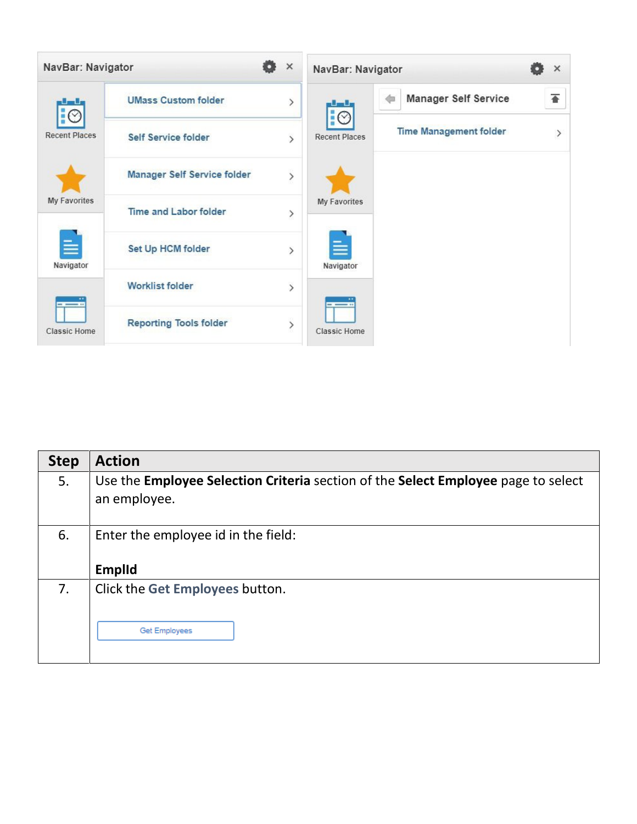

| <b>Step</b> | <b>Action</b>                                                                                   |
|-------------|-------------------------------------------------------------------------------------------------|
| 5.          | Use the <b>Employee Selection Criteria</b> section of the <b>Select Employee</b> page to select |
|             | an employee.                                                                                    |
|             |                                                                                                 |
| 6.          | Enter the employee id in the field:                                                             |
|             |                                                                                                 |
|             | <b>Emplid</b>                                                                                   |
| 7.          | Click the Get Employees button.                                                                 |
|             |                                                                                                 |
|             | Get Employees                                                                                   |
|             |                                                                                                 |
|             |                                                                                                 |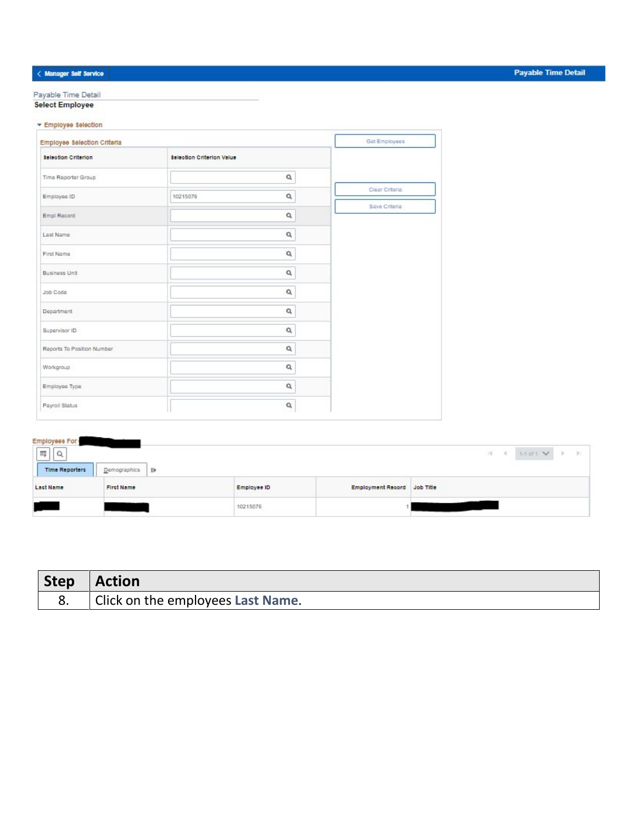### $\langle$  Manager Self Service

Payable Time Detail **Select Employee** 

|  | Employee Selection |  |  |
|--|--------------------|--|--|
|  |                    |  |  |

| Employee Selection Criteria |                                  |                | Get Employees  |
|-----------------------------|----------------------------------|----------------|----------------|
| <b>Selection Criterion</b>  | <b>Selection Criterion Value</b> |                |                |
| Time Reporter Group         |                                  | ۹              |                |
| Employee ID                 | 10215076                         | $\alpha$       | Clear Criteria |
| Empl Record                 |                                  | $\mathsf{Q}$   | Save Criteria  |
| Last Name                   |                                  | $\mathsf{Q}$   |                |
| First Name                  |                                  | $\mathsf{Q}_i$ |                |
| Business Unit               |                                  | $\mathsf{Q}$   |                |
| Job Code                    |                                  | $\alpha$       |                |
| Department                  |                                  | a              |                |
| Supervisor ID               |                                  | ۹              |                |
| Reports To Position Number  |                                  | a              |                |
| Workgroup                   |                                  | a              |                |
| Employee Type               |                                  | $\alpha$       |                |
| Payroll Status              |                                  | $\alpha$       |                |

### **Payable Time Detail**

| Employees For<br>$\overline{\rm m}$<br>$\Omega$ |                   |             |                             | 1-1 of $1 \vee$ $\rightarrow$ $\rightarrow$<br>$-14 - 41$ |
|-------------------------------------------------|-------------------|-------------|-----------------------------|-----------------------------------------------------------|
| Time Reporters                                  | Demographics<br>₩ |             |                             |                                                           |
| Last Name                                       | <b>First Name</b> | Employee ID | Employment Record Job Title |                                                           |
|                                                 |                   | 10215076    |                             |                                                           |

| Step   Action                     |
|-----------------------------------|
| Click on the employees Last Name. |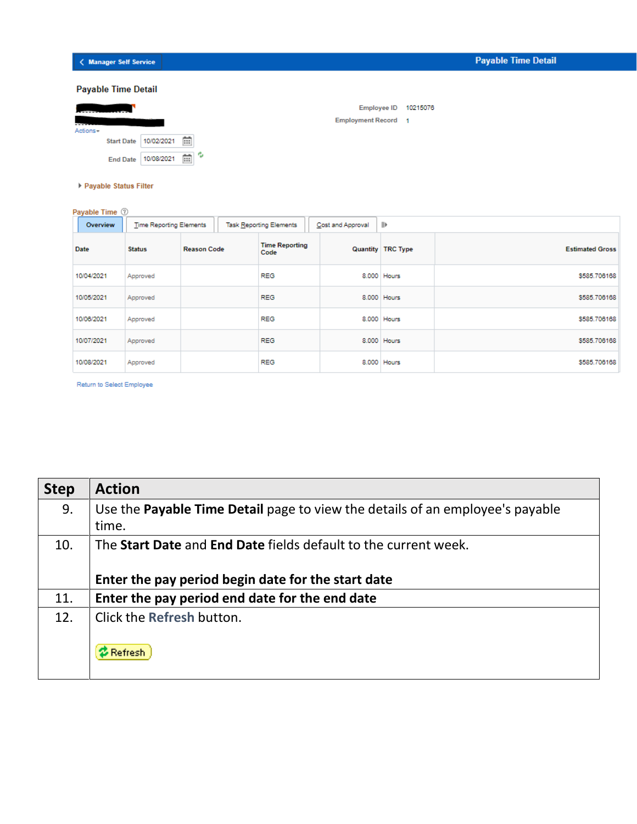## < Manager Self Service

|          | <b>Payable Time Detail</b> |            |     |                            |          |
|----------|----------------------------|------------|-----|----------------------------|----------|
|          |                            |            |     | <b>Employee ID</b>         | 10215076 |
| Actions- |                            |            |     | <b>Employment Record 1</b> |          |
|          | <b>Start Date</b>          | 10/02/2021 | 蔮   |                            |          |
|          | <b>End Date</b>            | 10/08/2021 | m ° |                            |          |

Payable Status Filter

Payable Time <sup>7</sup>

| Overview   | <b>Time Reporting Elements</b> |                    |  | <b>Task Reporting Elements</b> | Cost and Approval | ⊪                          |                        |
|------------|--------------------------------|--------------------|--|--------------------------------|-------------------|----------------------------|------------------------|
| Date       | <b>Status</b>                  | <b>Reason Code</b> |  | <b>Time Reporting</b><br>Code  |                   | <b>Quantity   TRC Type</b> | <b>Estimated Gross</b> |
| 10/04/2021 | Approved                       |                    |  | <b>REG</b>                     |                   | 8.000 Hours                | \$585,706168           |
| 10/05/2021 | Approved                       |                    |  | <b>REG</b>                     |                   | 8.000 Hours                | \$585,706168           |
| 10/06/2021 | Approved                       |                    |  | <b>REG</b>                     |                   | 8.000 Hours                | \$585,706168           |
| 10/07/2021 | Approved                       |                    |  | <b>REG</b>                     |                   | 8.000 Hours                | \$585,706168           |
| 10/08/2021 | Approved                       |                    |  | <b>REG</b>                     |                   | 8.000 Hours                | \$585,706168           |

Return to Select Employee

| <b>Step</b> | <b>Action</b>                                                                 |
|-------------|-------------------------------------------------------------------------------|
| 9.          | Use the Payable Time Detail page to view the details of an employee's payable |
|             | time.                                                                         |
| 10.         | The Start Date and End Date fields default to the current week.               |
|             | Enter the pay period begin date for the start date                            |
| 11.         | Enter the pay period end date for the end date                                |
| 12.         | Click the Refresh button.                                                     |
|             | 2 Refresh                                                                     |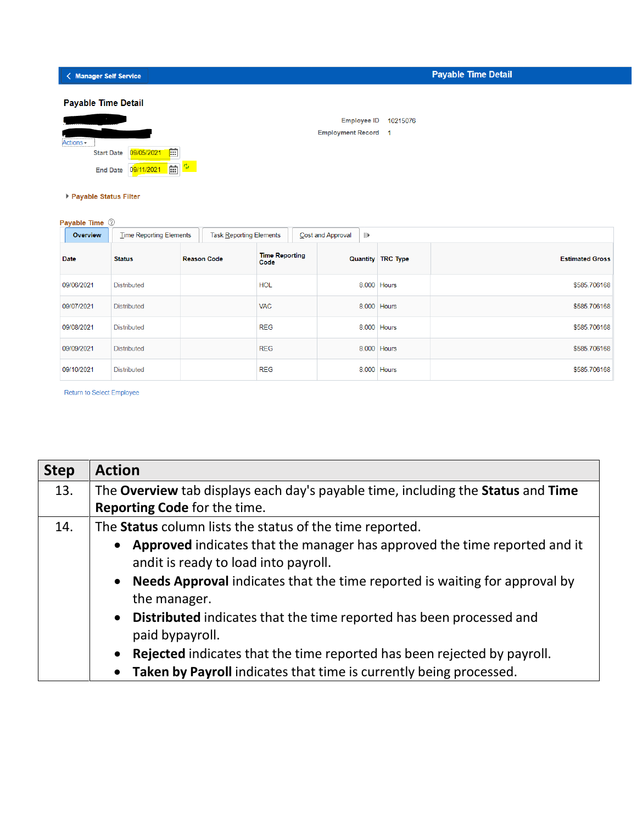< Manager Self Service

| <b>Payable Time Detail</b>                  |                             |                            |          |  |
|---------------------------------------------|-----------------------------|----------------------------|----------|--|
|                                             |                             | <b>Employee ID</b>         | 10215076 |  |
| ------------------------------<br>Actions - |                             | <b>Employment Record 1</b> |          |  |
| <b>Start Date</b>                           | m<br>09/05/2021             |                            |          |  |
| <b>End Date</b>                             | <b>B</b><br>酾<br>09/11/2021 |                            |          |  |

▶ Payable Status Filter

| Payable Time 2 |                                |                                |                               |                                  |                          |                        |
|----------------|--------------------------------|--------------------------------|-------------------------------|----------------------------------|--------------------------|------------------------|
| Overview       | <b>Time Reporting Elements</b> | <b>Task Reporting Elements</b> |                               | $\parallel$<br>Cost and Approval |                          |                        |
| <b>Date</b>    | <b>Status</b>                  | <b>Reason Code</b>             | <b>Time Reporting</b><br>Code |                                  | <b>Quantity TRC Type</b> | <b>Estimated Gross</b> |
| 09/06/2021     | Distributed                    |                                | <b>HOL</b>                    |                                  | 8.000 Hours              | \$585,706168           |
| 09/07/2021     | <b>Distributed</b>             |                                | <b>VAC</b>                    |                                  | 8.000 Hours              | \$585.706168           |
| 09/08/2021     | <b>Distributed</b>             |                                | <b>REG</b>                    |                                  | 8.000 Hours              | \$585,706168           |
| 09/09/2021     | <b>Distributed</b>             |                                | <b>REG</b>                    |                                  | 8.000 Hours              | \$585,706168           |
| 09/10/2021     | <b>Distributed</b>             |                                | <b>REG</b>                    |                                  | 8.000 Hours              | \$585.706168           |

Return to Select Employee

| <b>Step</b> | <b>Action</b>                                                                                                                                              |
|-------------|------------------------------------------------------------------------------------------------------------------------------------------------------------|
| 13.         | The Overview tab displays each day's payable time, including the Status and Time                                                                           |
|             | Reporting Code for the time.                                                                                                                               |
| 14.         | The Status column lists the status of the time reported.                                                                                                   |
|             | Approved indicates that the manager has approved the time reported and it<br>$\bullet$<br>andit is ready to load into payroll.                             |
|             | • Needs Approval indicates that the time reported is waiting for approval by<br>the manager.                                                               |
|             | Distributed indicates that the time reported has been processed and<br>$\bullet$<br>paid bypayroll.                                                        |
|             | Rejected indicates that the time reported has been rejected by payroll.<br>$\bullet$<br>Taken by Payroll indicates that time is currently being processed. |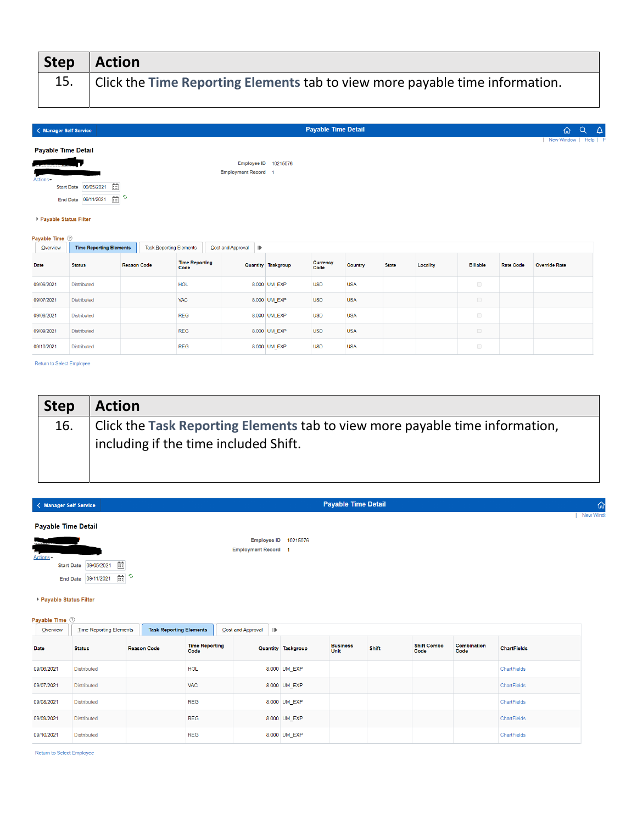| <b>Step</b> | $\vert$ Action                                                               |
|-------------|------------------------------------------------------------------------------|
|             | Click the Time Reporting Elements tab to view more payable time information. |
|             |                                                                              |

| < Manager Self Service                    |                                                   |                                |                               |                                                    |                    | <b>Payable Time Detail</b> |                |              |          |                 |                  | $Q \Delta$<br>奋          |
|-------------------------------------------|---------------------------------------------------|--------------------------------|-------------------------------|----------------------------------------------------|--------------------|----------------------------|----------------|--------------|----------|-----------------|------------------|--------------------------|
| <b>Payable Time Detail</b>                |                                                   |                                |                               |                                                    |                    |                            |                |              |          |                 |                  | New Window  <br>Help   P |
| --------<br>Actions -                     | 面<br>Start Date 09/05/2021<br>End Date 09/11/2021 | 画。                             |                               | Employee ID 10215076<br><b>Employment Record 1</b> |                    |                            |                |              |          |                 |                  |                          |
| ▶ Payable Status Filter<br>Payable Time 2 |                                                   |                                |                               |                                                    |                    |                            |                |              |          |                 |                  |                          |
| Overview                                  | <b>Time Reporting Elements</b>                    | <b>Task Reporting Elements</b> |                               | Cost and Approval<br>$\vert\vert\vert$             |                    |                            |                |              |          |                 |                  |                          |
| Date                                      | <b>Status</b>                                     | <b>Reason Code</b>             | <b>Time Reporting</b><br>Code |                                                    | Quantity Taskgroup | Currency<br>Code           | <b>Country</b> | <b>State</b> | Locality | <b>Billable</b> | <b>Rate Code</b> | <b>Override Rate</b>     |
| 09/06/2021                                | <b>Distributed</b>                                |                                | <b>HOL</b>                    |                                                    | 8.000 UM_EXP       | <b>USD</b>                 | <b>USA</b>     |              |          | $\Box$          |                  |                          |
| 09/07/2021<br><b>VAC</b><br>Distributed   |                                                   |                                |                               |                                                    | 8.000 UM EXP       | <b>USD</b>                 | <b>USA</b>     |              |          | $\Box$          |                  |                          |
| 09/08/2021                                | Distributed                                       |                                | <b>REG</b>                    |                                                    | 8.000 UM EXP       | <b>USD</b>                 | <b>USA</b>     |              |          | $\Box$          |                  |                          |
| 09/09/2021                                | Distributed                                       |                                | <b>REG</b>                    |                                                    | 8.000 UM_EXP       | <b>USD</b>                 | <b>USA</b>     |              |          | $\Box$          |                  |                          |
| 09/10/2021                                | Distributed                                       |                                | <b>REG</b>                    |                                                    | 8.000 UM EXP       | <b>USD</b>                 | <b>USA</b>     |              |          | $\Box$          |                  |                          |

Return to Select Employee

| <b>Step</b> | <b>Action</b>                                                                                                         |
|-------------|-----------------------------------------------------------------------------------------------------------------------|
| 16.         | Click the Task Reporting Elements tab to view more payable time information,<br>including if the time included Shift. |

|                                      | < Manager Self Service                          |                    |                                |                               |                                                    |                           | <b>Payable Time Detail</b> |       |                            |                     |                    |  |
|--------------------------------------|-------------------------------------------------|--------------------|--------------------------------|-------------------------------|----------------------------------------------------|---------------------------|----------------------------|-------|----------------------------|---------------------|--------------------|--|
| <b>Payable Time Detail</b>           |                                                 |                    |                                |                               |                                                    |                           |                            |       |                            |                     |                    |  |
| Actions -<br>▶ Payable Status Filter | Start Date 09/05/2021<br>End Date 09/11/2021    | 曲<br>画。            |                                |                               | Employee ID 10215076<br><b>Employment Record 1</b> |                           |                            |       |                            |                     |                    |  |
| Payable Time 2                       |                                                 |                    |                                |                               |                                                    |                           |                            |       |                            |                     |                    |  |
|                                      |                                                 |                    |                                |                               |                                                    |                           |                            |       |                            |                     |                    |  |
| Overview                             | <b>Time Reporting Elements</b><br><b>Status</b> | <b>Reason Code</b> | <b>Task Reporting Elements</b> | <b>Time Reporting</b><br>Code | Cost and Approval<br>$\left\vert \right\vert$      | <b>Quantity Taskgroup</b> | <b>Business</b><br>Unit    | Shift | <b>Shift Combo</b><br>Code | Combination<br>Code | <b>ChartFields</b> |  |
|                                      | <b>Distributed</b>                              |                    |                                | <b>HOL</b>                    |                                                    | 8.000 UM EXP              |                            |       |                            |                     | ChartFields        |  |
| Date<br>09/06/2021<br>09/07/2021     | <b>Distributed</b>                              |                    |                                | <b>VAC</b>                    |                                                    | 8.000 UM_EXP              |                            |       |                            |                     | ChartFields        |  |
| 09/08/2021                           | <b>Distributed</b>                              |                    |                                | <b>REG</b>                    |                                                    | 8.000 UM EXP              |                            |       |                            |                     | ChartFields        |  |
| 09/09/2021                           | <b>Distributed</b>                              |                    |                                | <b>REG</b>                    |                                                    | 8.000 UM EXP              |                            |       |                            |                     | ChartFields        |  |

m to Select Employee